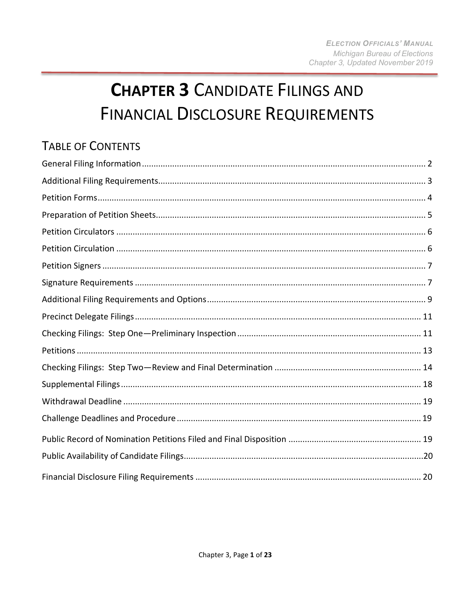# **CHAPTER 3 CANDIDATE FILINGS AND FINANCIAL DISCLOSURE REQUIREMENTS**

# <span id="page-0-0"></span>**TABLE OF CONTENTS**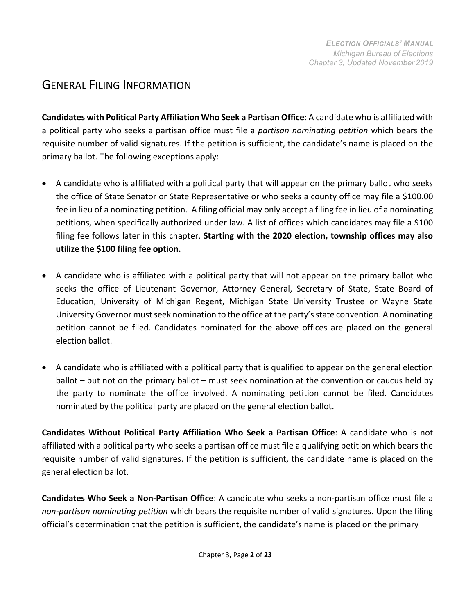#### GENERAL FILING INFORMATION

**Candidates with Political Party Affiliation Who Seek a Partisan Office**: A candidate who is affiliated with a political party who seeks a partisan office must file a *partisan nominating petition* which bears the requisite number of valid signatures. If the petition is sufficient, the candidate's name is placed on the primary ballot. The following exceptions apply:

- A candidate who is affiliated with a political party that will appear on the primary ballot who seeks the office of State Senator or State Representative or who seeks a county office may file a \$100.00 fee in lieu of a nominating petition. A filing official may only accept a filing fee in lieu of a nominating petitions, when specifically authorized under law. A list of offices which candidates may file a \$100 filing fee follows later in this chapter. **Starting with the 2020 election, township offices may also utilize the \$100 filing fee option.**
- A candidate who is affiliated with a political party that will not appear on the primary ballot who seeks the office of Lieutenant Governor, Attorney General, Secretary of State, State Board of Education, University of Michigan Regent, Michigan State University Trustee or Wayne State University Governor must seek nomination to the office at the party's state convention. A nominating petition cannot be filed. Candidates nominated for the above offices are placed on the general election ballot.
- A candidate who is affiliated with a political party that is qualified to appear on the general election ballot – but not on the primary ballot – must seek nomination at the convention or caucus held by the party to nominate the office involved. A nominating petition cannot be filed. Candidates nominated by the political party are placed on the general election ballot.

**Candidates Without Political Party Affiliation Who Seek a Partisan Office**: A candidate who is not affiliated with a political party who seeks a partisan office must file a qualifying petition which bears the requisite number of valid signatures. If the petition is sufficient, the candidate name is placed on the general election ballot.

**Candidates Who Seek a Non-Partisan Office**: A candidate who seeks a non-partisan office must file a *non-partisan nominating petition* which bears the requisite number of valid signatures. Upon the filing official's determination that the petition is sufficient, the candidate's name is placed on the primary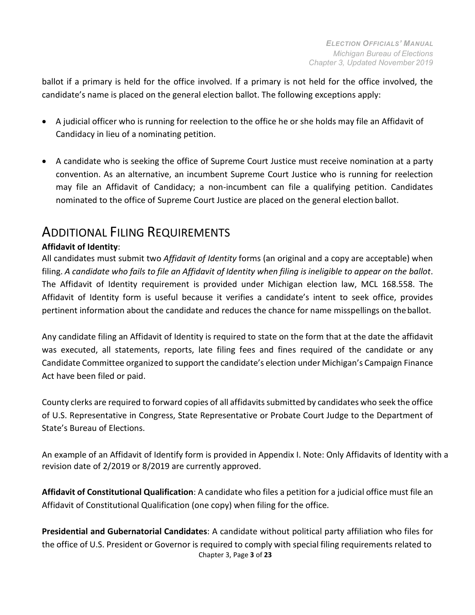ballot if a primary is held for the office involved. If a primary is not held for the office involved, the candidate's name is placed on the general election ballot. The following exceptions apply:

- A judicial officer who is running for reelection to the office he or she holds may file an Affidavit of Candidacy in lieu of a nominating petition.
- A candidate who is seeking the office of Supreme Court Justice must receive nomination at a party convention. As an alternative, an incumbent Supreme Court Justice who is running for reelection may file an Affidavit of Candidacy; a non-incumbent can file a qualifying petition. Candidates nominated to the office of Supreme Court Justice are placed on the general election ballot.

## <span id="page-2-0"></span>ADDITIONAL FILING REQUIREMENTS

#### **Affidavit of Identity**:

All candidates must submit two *Affidavit of Identity* forms (an original and a copy are acceptable) when filing. A candidate who fails to file an Affidavit of Identity when filing is ineligible to appear on the ballot. The Affidavit of Identity requirement is provided under Michigan election law, MCL 168.558. The Affidavit of Identity form is useful because it verifies a candidate's intent to seek office, provides pertinent information about the candidate and reduces the chance for name misspellings on theballot.

Any candidate filing an Affidavit of Identity is required to state on the form that at the date the affidavit was executed, all statements, reports, late filing fees and fines required of the candidate or any Candidate Committee organized to support the candidate's election under Michigan's Campaign Finance Act have been filed or paid.

County clerks are required to forward copies of all affidavitssubmitted by candidates who seek the office of U.S. Representative in Congress, State Representative or Probate Court Judge to the Department of State's Bureau of Elections.

An example of an Affidavit of Identify form is provided in Appendix I. Note: Only Affidavits of Identity with a revision date of 2/2019 or 8/2019 are currently approved.

**Affidavit of Constitutional Qualification**: A candidate who files a petition for a judicial office must file an Affidavit of Constitutional Qualification (one copy) when filing for the office.

Chapter 3, Page **3** of **23 Presidential and Gubernatorial Candidates**: A candidate without political party affiliation who files for the office of U.S. President or Governor is required to comply with special filing requirements related to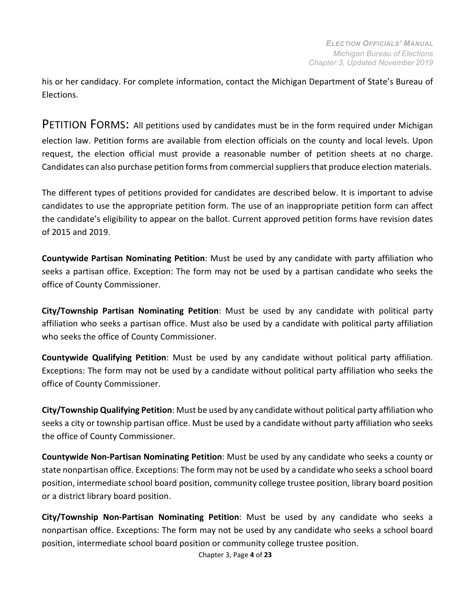his or her candidacy. For complete information, contact the Michigan Department of State's Bureau of Elections.

<span id="page-3-0"></span>PETITION FORMS: All petitions used by candidates must be in the form required under Michigan election law. Petition forms are available from election officials on the county and local levels. Upon request, the election official must provide a reasonable number of petition sheets at no charge. Candidates can also purchase petition forms from commercial suppliers that produce election materials.

The different types of petitions provided for candidates are described below. It is important to advise candidates to use the appropriate petition form. The use of an inappropriate petition form can affect the candidate's eligibility to appear on the ballot. Current approved petition forms have revision dates of 2015 and 2019.

**Countywide Partisan Nominating Petition**: Must be used by any candidate with party affiliation who seeks a partisan office. Exception: The form may not be used by a partisan candidate who seeks the office of County Commissioner.

**City/Township Partisan Nominating Petition**: Must be used by any candidate with political party affiliation who seeks a partisan office. Must also be used by a candidate with political party affiliation who seeks the office of County Commissioner.

**Countywide Qualifying Petition**: Must be used by any candidate without political party affiliation. Exceptions: The form may not be used by a candidate without political party affiliation who seeks the office of County Commissioner.

**City/Township Qualifying Petition**: Must be used by any candidate without political party affiliation who seeks a city or township partisan office. Must be used by a candidate without party affiliation who seeks the office of County Commissioner.

**Countywide Non-Partisan Nominating Petition**: Must be used by any candidate who seeks a county or state nonpartisan office. Exceptions: The form may not be used by a candidate who seeks a school board position, intermediate school board position, community college trustee position, library board position or a district library board position.

**City/Township Non-Partisan Nominating Petition**: Must be used by any candidate who seeks a nonpartisan office. Exceptions: The form may not be used by any candidate who seeks a school board position, intermediate school board position or community college trustee position.

Chapter 3, Page **4** of **23**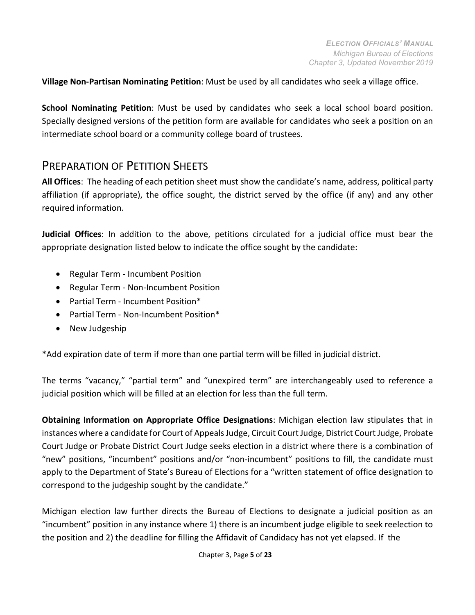**Village Non-Partisan Nominating Petition**: Must be used by all candidates who seek a village office.

**School Nominating Petition**: Must be used by candidates who seek a local school board position. Specially designed versions of the petition form are available for candidates who seek a position on an intermediate school board or a community college board of trustees.

#### <span id="page-4-0"></span>PREPARATION OF PETITION SHEETS

**All Offices**: The heading of each petition sheet must show the candidate's name, address, political party affiliation (if appropriate), the office sought, the district served by the office (if any) and any other required information.

**Judicial Offices**: In addition to the above, petitions circulated for a judicial office must bear the appropriate designation listed below to indicate the office sought by the candidate:

- Regular Term Incumbent Position
- Regular Term Non-Incumbent Position
- Partial Term Incumbent Position\*
- Partial Term Non-Incumbent Position\*
- New Judgeship

\*Add expiration date of term if more than one partial term will be filled in judicial district.

The terms "vacancy," "partial term" and "unexpired term" are interchangeably used to reference a judicial position which will be filled at an election for less than the full term.

**Obtaining Information on Appropriate Office Designations**: Michigan election law stipulates that in instances where a candidate for Court of Appeals Judge, Circuit Court Judge, District Court Judge, Probate Court Judge or Probate District Court Judge seeks election in a district where there is a combination of "new" positions, "incumbent" positions and/or "non-incumbent" positions to fill, the candidate must apply to the Department of State's Bureau of Elections for a "written statement of office designation to correspond to the judgeship sought by the candidate."

Michigan election law further directs the Bureau of Elections to designate a judicial position as an "incumbent" position in any instance where 1) there is an incumbent judge eligible to seek reelection to the position and 2) the deadline for filling the Affidavit of Candidacy has not yet elapsed. If the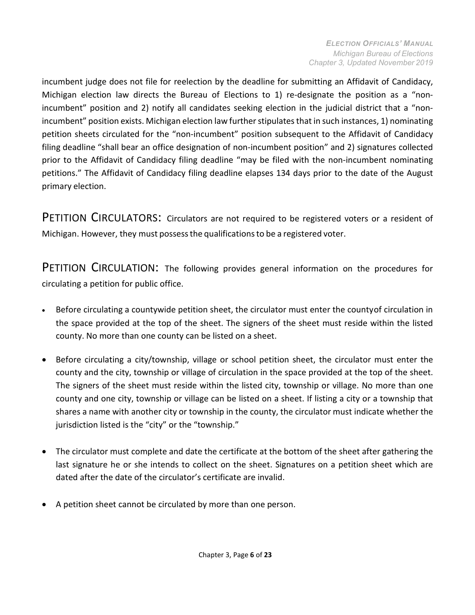incumbent judge does not file for reelection by the deadline for submitting an Affidavit of Candidacy, Michigan election law directs the Bureau of Elections to 1) re-designate the position as a "nonincumbent" position and 2) notify all candidates seeking election in the judicial district that a "nonincumbent" position exists. Michigan election law further stipulates that in such instances, 1) nominating petition sheets circulated for the "non-incumbent" position subsequent to the Affidavit of Candidacy filing deadline "shall bear an office designation of non-incumbent position" and 2) signatures collected prior to the Affidavit of Candidacy filing deadline "may be filed with the non-incumbent nominating petitions." The Affidavit of Candidacy filing deadline elapses 134 days prior to the date of the August primary election.

<span id="page-5-0"></span>PETITION CIRCULATORS: Circulators are not required to be registered voters or a resident of Michigan. However, they must possessthe qualificationsto be a registered voter.

<span id="page-5-1"></span>PETITION CIRCULATION: The following provides general information on the procedures for circulating a petition for public office.

- Before circulating a countywide petition sheet, the circulator must enter the countyof circulation in the space provided at the top of the sheet. The signers of the sheet must reside within the listed county. No more than one county can be listed on a sheet.
- Before circulating a city/township, village or school petition sheet, the circulator must enter the county and the city, township or village of circulation in the space provided at the top of the sheet. The signers of the sheet must reside within the listed city, township or village. No more than one county and one city, township or village can be listed on a sheet. If listing a city or a township that shares a name with another city or township in the county, the circulator must indicate whether the jurisdiction listed is the "city" or the "township."
- The circulator must complete and date the certificate at the bottom of the sheet after gathering the last signature he or she intends to collect on the sheet. Signatures on a petition sheet which are dated after the date of the circulator's certificate are invalid.
- A petition sheet cannot be circulated by more than one person.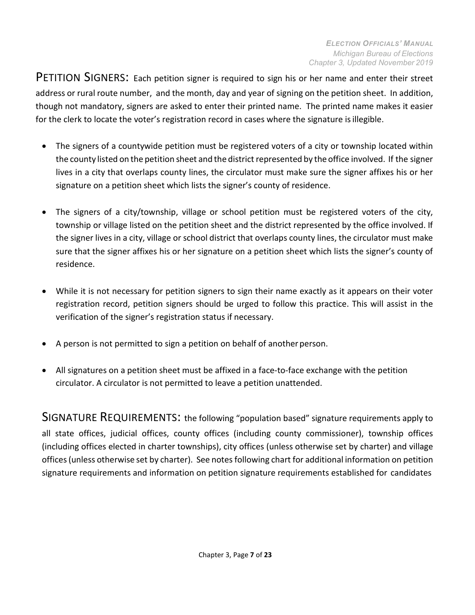<span id="page-6-0"></span>PETITION SIGNERS: Each petition signer is required to sign his or her name and enter their street address or rural route number, and the month, day and year of signing on the petition sheet. In addition, though not mandatory, signers are asked to enter their printed name. The printed name makes it easier for the clerk to locate the voter's registration record in cases where the signature is illegible.

- The signers of a countywide petition must be registered voters of a city or township located within the county listed on the petition sheet and the district represented by the office involved. If the signer lives in a city that overlaps county lines, the circulator must make sure the signer affixes his or her signature on a petition sheet which lists the signer's county of residence.
- The signers of a city/township, village or school petition must be registered voters of the city, township or village listed on the petition sheet and the district represented by the office involved. If the signer lives in a city, village or school district that overlaps county lines, the circulator must make sure that the signer affixes his or her signature on a petition sheet which lists the signer's county of residence.
- While it is not necessary for petition signers to sign their name exactly as it appears on their voter registration record, petition signers should be urged to follow this practice. This will assist in the verification of the signer's registration status if necessary.
- A person is not permitted to sign a petition on behalf of another person.
- All signatures on a petition sheet must be affixed in a face-to-face exchange with the petition circulator. A circulator is not permitted to leave a petition unattended.

<span id="page-6-1"></span>SIGNATURE REQUIREMENTS: the following "population based" signature requirements apply to all state offices, judicial offices, county offices (including county commissioner), township offices (including offices elected in charter townships), city offices (unless otherwise set by charter) and village offices (unless otherwise set by charter). See notes following chart for additional information on petition signature requirements and information on petition signature requirements established for candidates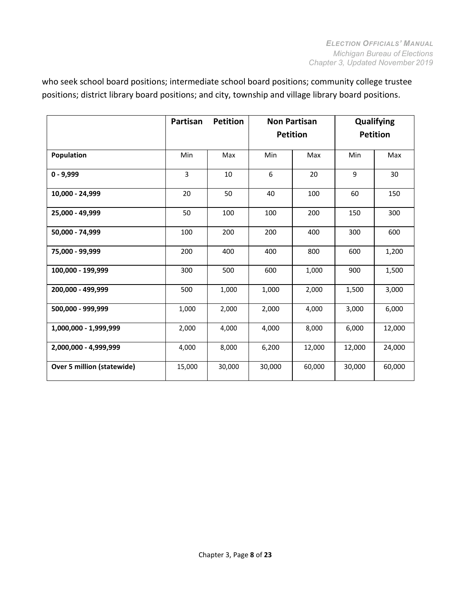<span id="page-7-0"></span>who seek school board positions; intermediate school board positions; community college trustee positions; district library board positions; and city, township and village library board positions.

|                                   | Partisan     | <b>Petition</b> | <b>Non Partisan</b> |        | Qualifying      |        |
|-----------------------------------|--------------|-----------------|---------------------|--------|-----------------|--------|
|                                   |              |                 | <b>Petition</b>     |        | <b>Petition</b> |        |
| Population                        | Min          | Max             | Min                 | Max    | Min             | Max    |
| $0 - 9,999$                       | $\mathsf{3}$ | 10              | 6                   | 20     | 9               | 30     |
| 10,000 - 24,999                   | 20           | 50              | 40                  | 100    | 60              | 150    |
| 25,000 - 49,999                   | 50           | 100             | 100                 | 200    | 150             | 300    |
| 50,000 - 74,999                   | 100          | 200             | 200                 | 400    | 300             | 600    |
| 75,000 - 99,999                   | 200          | 400             | 400                 | 800    | 600             | 1,200  |
| 100,000 - 199,999                 | 300          | 500             | 600                 | 1,000  | 900             | 1,500  |
| 200,000 - 499,999                 | 500          | 1,000           | 1,000               | 2,000  | 1,500           | 3,000  |
| 500.000 - 999.999                 | 1,000        | 2,000           | 2,000               | 4,000  | 3,000           | 6,000  |
| 1,000,000 - 1,999,999             | 2,000        | 4,000           | 4,000               | 8,000  | 6,000           | 12,000 |
| 2,000,000 - 4,999,999             | 4,000        | 8,000           | 6,200               | 12,000 | 12,000          | 24,000 |
| <b>Over 5 million (statewide)</b> | 15,000       | 30,000          | 30,000              | 60,000 | 30,000          | 60,000 |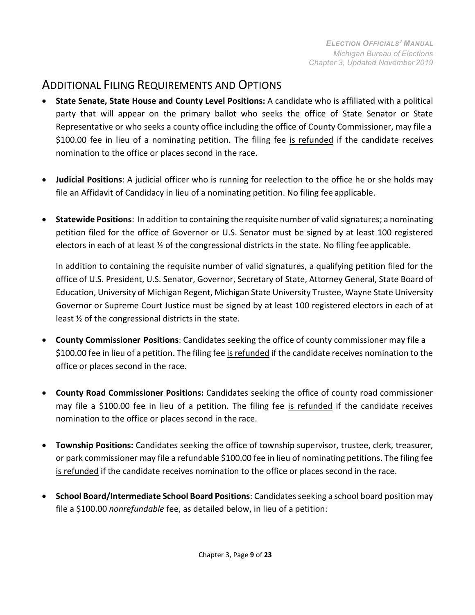#### ADDITIONAL FILING REQUIREMENTS AND OPTIONS

- **State Senate, State House and County Level Positions:** A candidate who is affiliated with a political party that will appear on the primary ballot who seeks the office of State Senator or State Representative or who seeks a county office including the office of County Commissioner, may file a \$100.00 fee in lieu of a nominating petition. The filing fee is refunded if the candidate receives nomination to the office or places second in the race.
- **Judicial Positions**: A judicial officer who is running for reelection to the office he or she holds may file an Affidavit of Candidacy in lieu of a nominating petition. No filing fee applicable.
- **Statewide Positions**: In addition to containing the requisite number of valid signatures; a nominating petition filed for the office of Governor or U.S. Senator must be signed by at least 100 registered electors in each of at least ½ of the congressional districts in the state. No filing fee applicable.

In addition to containing the requisite number of valid signatures, a qualifying petition filed for the office of U.S. President, U.S. Senator, Governor, Secretary of State, Attorney General, State Board of Education, University of Michigan Regent, Michigan State University Trustee, Wayne State University Governor or Supreme Court Justice must be signed by at least 100 registered electors in each of at least ½ of the congressional districts in the state.

- **County Commissioner Positions**: Candidates seeking the office of county commissioner may file a \$100.00 fee in lieu of a petition. The filing fee is refunded if the candidate receives nomination to the office or places second in the race.
- **County Road Commissioner Positions:** Candidates seeking the office of county road commissioner may file a \$100.00 fee in lieu of a petition. The filing fee is refunded if the candidate receives nomination to the office or places second in the race.
- **Township Positions:** Candidates seeking the office of township supervisor, trustee, clerk, treasurer, or park commissioner may file a refundable \$100.00 fee in lieu of nominating petitions. The filing fee is refunded if the candidate receives nomination to the office or places second in the race.
- **School Board/Intermediate School Board Positions**: Candidates seeking a school board position may file a \$100.00 *nonrefundable* fee, as detailed below, in lieu of a petition: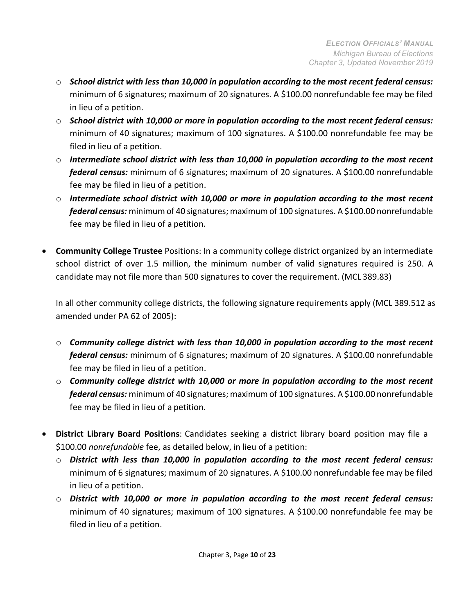- o *School district with less than 10,000 in population according to the most recent federal census:*  minimum of 6 signatures; maximum of 20 signatures. A \$100.00 nonrefundable fee may be filed in lieu of a petition.
- o *School district with 10,000 or more in population according to the most recent federal census:*  minimum of 40 signatures; maximum of 100 signatures. A \$100.00 nonrefundable fee may be filed in lieu of a petition.
- o *Intermediate school district with less than 10,000 in population according to the most recent federal census:* minimum of 6 signatures; maximum of 20 signatures. A \$100.00 nonrefundable fee may be filed in lieu of a petition.
- o *Intermediate school district with 10,000 or more in population according to the most recent federal census:* minimum of 40 signatures; maximum of 100 signatures. A \$100.00 nonrefundable fee may be filed in lieu of a petition.
- **Community College Trustee** Positions: In a community college district organized by an intermediate school district of over 1.5 million, the minimum number of valid signatures required is 250. A candidate may not file more than 500 signatures to cover the requirement. (MCL 389.83)

In all other community college districts, the following signature requirements apply (MCL 389.512 as amended under PA 62 of 2005):

- o *Community college district with less than 10,000 in population according to the most recent federal census:* minimum of 6 signatures; maximum of 20 signatures. A \$100.00 nonrefundable fee may be filed in lieu of a petition.
- o *Community college district with 10,000 or more in population according to the most recent federal census:* minimum of 40 signatures; maximum of 100 signatures. A \$100.00 nonrefundable fee may be filed in lieu of a petition.
- **District Library Board Positions**: Candidates seeking a district library board position may file a \$100.00 *nonrefundable* fee, as detailed below, in lieu of a petition:
	- o *District with less than 10,000 in population according to the most recent federal census:*  minimum of 6 signatures; maximum of 20 signatures. A \$100.00 nonrefundable fee may be filed in lieu of a petition.
	- o *District with 10,000 or more in population according to the most recent federal census:*  minimum of 40 signatures; maximum of 100 signatures. A \$100.00 nonrefundable fee may be filed in lieu of a petition.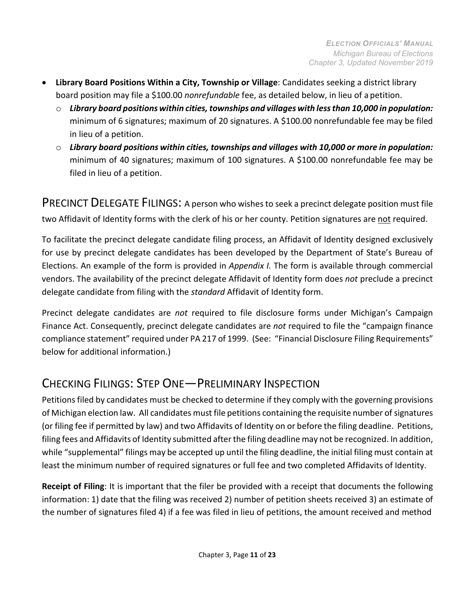- **Library Board Positions Within a City, Township or Village**: Candidates seeking a district library board position may file a \$100.00 *nonrefundable* fee, as detailed below, in lieu of a petition.
	- o *Library board positions within cities, townships and villages with lessthan 10,000 in population:*  minimum of 6 signatures; maximum of 20 signatures. A \$100.00 nonrefundable fee may be filed in lieu of a petition.
	- o *Library board positions within cities, townships and villages with 10,000 or more in population:*  minimum of 40 signatures; maximum of 100 signatures. A \$100.00 nonrefundable fee may be filed in lieu of a petition.

<span id="page-10-0"></span>PRECINCT DELEGATE FILINGS: A person who wishes to seek a precinct delegate position must file two Affidavit of Identity forms with the clerk of his or her county. Petition signatures are not required.

To facilitate the precinct delegate candidate filing process, an Affidavit of Identity designed exclusively for use by precinct delegate candidates has been developed by the Department of State's Bureau of Elections. An example of the form is provided in *Appendix I.* The form is available through commercial vendors. The availability of the precinct delegate Affidavit of Identity form does *not* preclude a precinct delegate candidate from filing with the *standard* Affidavit of Identity form.

Precinct delegate candidates are *not* required to file disclosure forms under Michigan's Campaign Finance Act. Consequently, precinct delegate candidates are *not* required to file the "campaign finance compliance statement" required under PA 217 of 1999. (See: "Financial Disclosure Filing Requirements" below for additional information.)

# <span id="page-10-1"></span>CHECKING FILINGS: STEP ONE—PRELIMINARY INSPECTION

Petitions filed by candidates must be checked to determine if they comply with the governing provisions of Michigan election law. All candidates must file petitions containing the requisite number ofsignatures (or filing fee if permitted by law) and two Affidavits of Identity on or before the filing deadline. Petitions, filing fees and Affidavits of Identity submitted after the filing deadline may not be recognized. In addition, while "supplemental" filings may be accepted up until the filing deadline, the initial filing must contain at least the minimum number of required signatures or full fee and two completed Affidavits of Identity.

**Receipt of Filing**: It is important that the filer be provided with a receipt that documents the following information: 1) date that the filing was received 2) number of petition sheets received 3) an estimate of the number of signatures filed 4) if a fee was filed in lieu of petitions, the amount received and method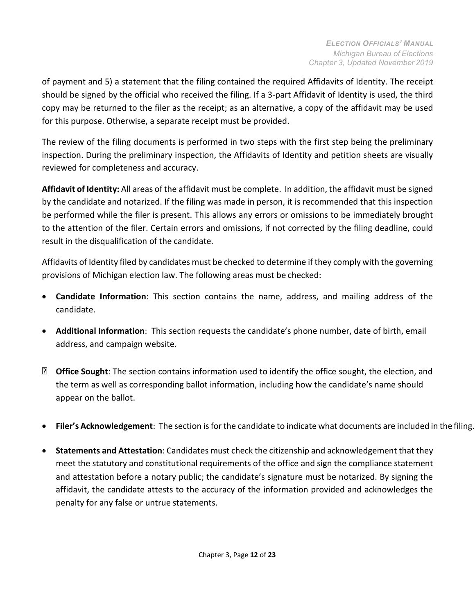of payment and 5) a statement that the filing contained the required Affidavits of Identity. The receipt should be signed by the official who received the filing. If a 3-part Affidavit of Identity is used, the third copy may be returned to the filer as the receipt; as an alternative, a copy of the affidavit may be used for this purpose. Otherwise, a separate receipt must be provided.

The review of the filing documents is performed in two steps with the first step being the preliminary inspection. During the preliminary inspection, the Affidavits of Identity and petition sheets are visually reviewed for completeness and accuracy.

**Affidavit of Identity:** All areas of the affidavit must be complete. In addition, the affidavit must be signed by the candidate and notarized. If the filing was made in person, it is recommended that this inspection be performed while the filer is present. This allows any errors or omissions to be immediately brought to the attention of the filer. Certain errors and omissions, if not corrected by the filing deadline, could result in the disqualification of the candidate.

Affidavits of Identity filed by candidates must be checked to determine if they comply with the governing provisions of Michigan election law. The following areas must be checked:

- **Candidate Information**: This section contains the name, address, and mailing address of the candidate.
- **Additional Information**: This section requests the candidate's phone number, date of birth, email address, and campaign website.
- **D** Office Sought: The section contains information used to identify the office sought, the election, and the term as well as corresponding ballot information, including how the candidate's name should appear on the ballot.
- **Filer's Acknowledgement**: The section is for the candidate to indicate what documents are included in the filing.
- **Statements and Attestation**: Candidates must check the citizenship and acknowledgement that they meet the statutory and constitutional requirements of the office and sign the compliance statement and attestation before a notary public; the candidate's signature must be notarized. By signing the affidavit, the candidate attests to the accuracy of the information provided and acknowledges the penalty for any false or untrue statements.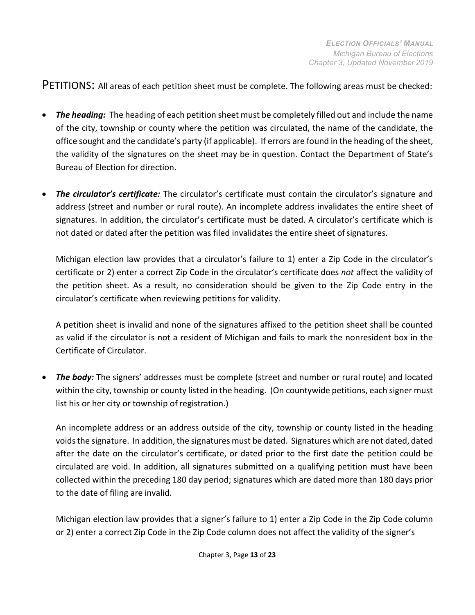<span id="page-12-0"></span>PETITIONS: All areas of each petition sheet must be complete. The following areas must be checked:

- *The heading:* The heading of each petition sheet must be completely filled out and include the name of the city, township or county where the petition was circulated, the name of the candidate, the office sought and the candidate's party (if applicable). If errors are found in the heading of the sheet, the validity of the signatures on the sheet may be in question. Contact the Department of State's Bureau of Election for direction.
- *The circulator's certificate:* The circulator's certificate must contain the circulator's signature and address (street and number or rural route). An incomplete address invalidates the entire sheet of signatures. In addition, the circulator's certificate must be dated. A circulator's certificate which is not dated or dated after the petition was filed invalidates the entire sheet ofsignatures.

Michigan election law provides that a circulator's failure to 1) enter a Zip Code in the circulator's certificate or 2) enter a correct Zip Code in the circulator's certificate does *not* affect the validity of the petition sheet. As a result, no consideration should be given to the Zip Code entry in the circulator's certificate when reviewing petitions for validity.

A petition sheet is invalid and none of the signatures affixed to the petition sheet shall be counted as valid if the circulator is not a resident of Michigan and fails to mark the nonresident box in the Certificate of Circulator.

• *The body:* The signers' addresses must be complete (street and number or rural route) and located within the city, township or county listed in the heading. (On countywide petitions, each signer must list his or her city or township of registration.)

An incomplete address or an address outside of the city, township or county listed in the heading voids the signature. In addition, the signatures must be dated. Signatures which are not dated, dated after the date on the circulator's certificate, or dated prior to the first date the petition could be circulated are void. In addition, all signatures submitted on a qualifying petition must have been collected within the preceding 180 day period; signatures which are dated more than 180 days prior to the date of filing are invalid.

Michigan election law provides that a signer's failure to 1) enter a Zip Code in the Zip Code column or 2) enter a correct Zip Code in the Zip Code column does not affect the validity of the signer's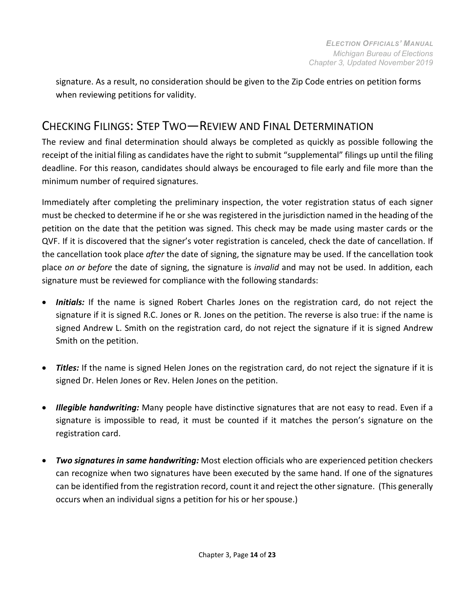signature. As a result, no consideration should be given to the Zip Code entries on petition forms when reviewing petitions for validity.

# <span id="page-13-0"></span>CHECKING FILINGS: STEP TWO—REVIEW AND FINAL DETERMINATION

The review and final determination should always be completed as quickly as possible following the receipt of the initial filing as candidates have the right to submit "supplemental" filings up until the filing deadline. For this reason, candidates should always be encouraged to file early and file more than the minimum number of required signatures.

Immediately after completing the preliminary inspection, the voter registration status of each signer must be checked to determine if he or she was registered in the jurisdiction named in the heading of the petition on the date that the petition was signed. This check may be made using master cards or the QVF. If it is discovered that the signer's voter registration is canceled, check the date of cancellation. If the cancellation took place *after* the date of signing, the signature may be used. If the cancellation took place *on or before* the date of signing, the signature is *invalid* and may not be used. In addition, each signature must be reviewed for compliance with the following standards:

- *Initials:* If the name is signed Robert Charles Jones on the registration card, do not reject the signature if it is signed R.C. Jones or R. Jones on the petition. The reverse is also true: if the name is signed Andrew L. Smith on the registration card, do not reject the signature if it is signed Andrew Smith on the petition.
- *Titles:* If the name is signed Helen Jones on the registration card, do not reject the signature if it is signed Dr. Helen Jones or Rev. Helen Jones on the petition.
- *Illegible handwriting:* Many people have distinctive signatures that are not easy to read. Even if a signature is impossible to read, it must be counted if it matches the person's signature on the registration card.
- *Two signatures in same handwriting:* Most election officials who are experienced petition checkers can recognize when two signatures have been executed by the same hand. If one of the signatures can be identified from the registration record, count it and reject the othersignature. (This generally occurs when an individual signs a petition for his or her spouse.)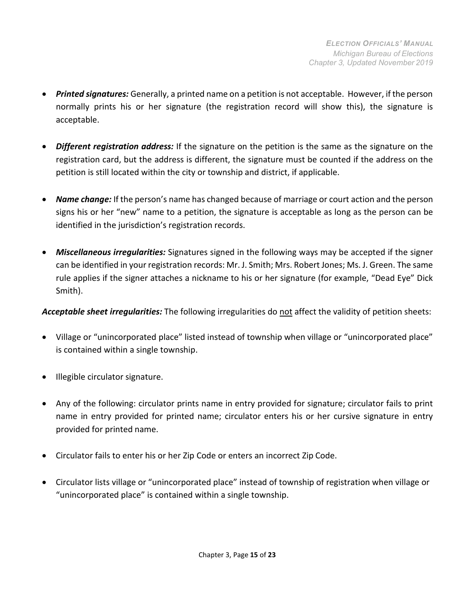- *Printed signatures:* Generally, a printed name on a petition is not acceptable. However, if the person normally prints his or her signature (the registration record will show this), the signature is acceptable.
- *Different registration address:* If the signature on the petition is the same as the signature on the registration card, but the address is different, the signature must be counted if the address on the petition is still located within the city or township and district, if applicable.
- *Name change:* If the person's name has changed because of marriage or court action and the person signs his or her "new" name to a petition, the signature is acceptable as long as the person can be identified in the jurisdiction's registration records.
- *Miscellaneous irregularities:* Signatures signed in the following ways may be accepted if the signer can be identified in your registration records: Mr. J. Smith; Mrs. Robert Jones; Ms. J. Green. The same rule applies if the signer attaches a nickname to his or her signature (for example, "Dead Eye" Dick Smith).

*Acceptable sheet irregularities:* The following irregularities do not affect the validity of petition sheets:

- Village or "unincorporated place" listed instead of township when village or "unincorporated place" is contained within a single township.
- Illegible circulator signature.
- Any of the following: circulator prints name in entry provided for signature; circulator fails to print name in entry provided for printed name; circulator enters his or her cursive signature in entry provided for printed name.
- Circulator fails to enter his or her Zip Code or enters an incorrect Zip Code.
- Circulator lists village or "unincorporated place" instead of township of registration when village or "unincorporated place" is contained within a single township.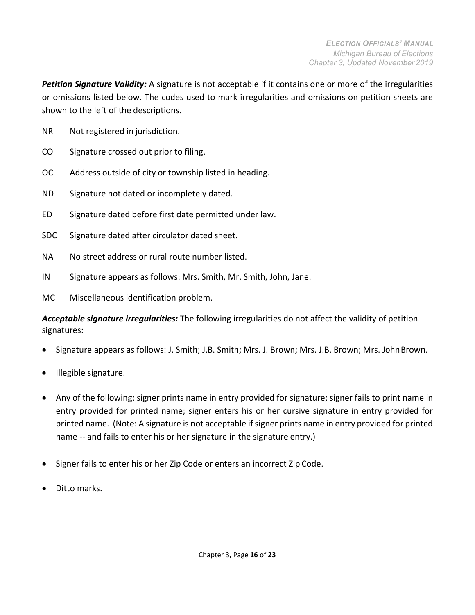*Petition Signature Validity:* A signature is not acceptable if it contains one or more of the irregularities or omissions listed below. The codes used to mark irregularities and omissions on petition sheets are shown to the left of the descriptions.

- NR Not registered in jurisdiction.
- CO Signature crossed out prior to filing.
- OC Address outside of city or township listed in heading.
- ND Signature not dated or incompletely dated.
- ED Signature dated before first date permitted under law.
- SDC Signature dated after circulator dated sheet.
- NA No street address or rural route number listed.
- IN Signature appears as follows: Mrs. Smith, Mr. Smith, John, Jane.
- MC Miscellaneous identification problem.

*Acceptable signature irregularities:* The following irregularities do not affect the validity of petition signatures:

- Signature appears as follows: J. Smith; J.B. Smith; Mrs. J. Brown; Mrs. J.B. Brown; Mrs. JohnBrown.
- Illegible signature.
- Any of the following: signer prints name in entry provided for signature; signer fails to print name in entry provided for printed name; signer enters his or her cursive signature in entry provided for printed name. (Note: A signature is not acceptable if signer prints name in entry provided for printed name -- and fails to enter his or her signature in the signature entry.)
- Signer fails to enter his or her Zip Code or enters an incorrect Zip Code.
- Ditto marks.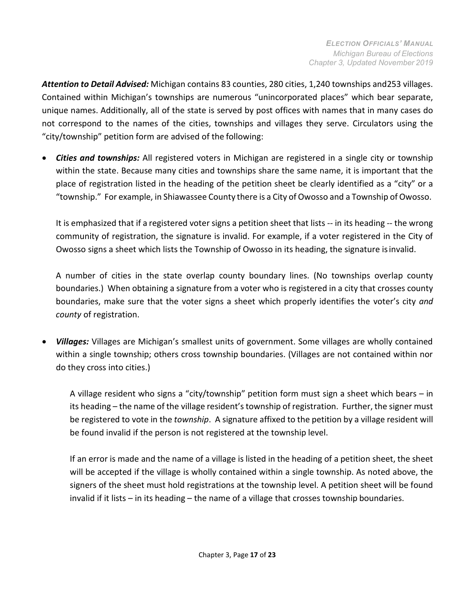*Attention to Detail Advised:* Michigan contains 83 counties, 280 cities, 1,240 townships and253 villages. Contained within Michigan's townships are numerous "unincorporated places" which bear separate, unique names. Additionally, all of the state is served by post offices with names that in many cases do not correspond to the names of the cities, townships and villages they serve. Circulators using the "city/township" petition form are advised of the following:

• *Cities and townships:* All registered voters in Michigan are registered in a single city or township within the state. Because many cities and townships share the same name, it is important that the place of registration listed in the heading of the petition sheet be clearly identified as a "city" or a "township." For example, in Shiawassee County there is a City of Owosso and a Township of Owosso.

It is emphasized that if a registered voter signs a petition sheet that lists -- in its heading -- the wrong community of registration, the signature is invalid. For example, if a voter registered in the City of Owosso signs a sheet which lists the Township of Owosso in its heading, the signature isinvalid.

A number of cities in the state overlap county boundary lines. (No townships overlap county boundaries.) When obtaining a signature from a voter who is registered in a city that crosses county boundaries, make sure that the voter signs a sheet which properly identifies the voter's city *and county* of registration.

• *Villages:* Villages are Michigan's smallest units of government. Some villages are wholly contained within a single township; others cross township boundaries. (Villages are not contained within nor do they cross into cities.)

A village resident who signs a "city/township" petition form must sign a sheet which bears – in its heading – the name of the village resident's township of registration. Further, the signer must be registered to vote in the *township*. A signature affixed to the petition by a village resident will be found invalid if the person is not registered at the township level.

If an error is made and the name of a village is listed in the heading of a petition sheet, the sheet will be accepted if the village is wholly contained within a single township. As noted above, the signers of the sheet must hold registrations at the township level. A petition sheet will be found invalid if it lists – in its heading – the name of a village that crosses township boundaries.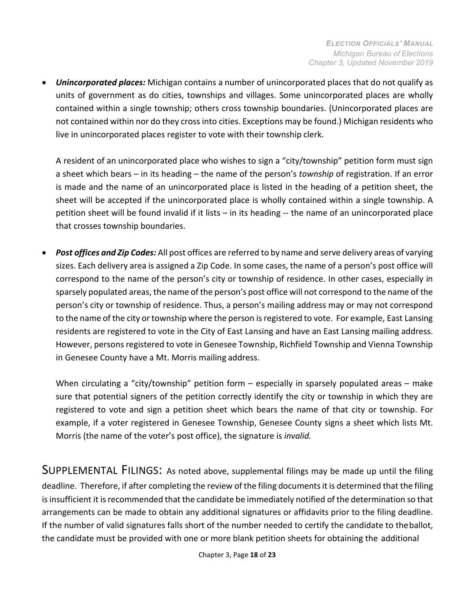• *Unincorporated places:* Michigan contains a number of unincorporated places that do not qualify as units of government as do cities, townships and villages. Some unincorporated places are wholly contained within a single township; others cross township boundaries. (Unincorporated places are not contained within nor do they cross into cities. Exceptions may be found.) Michigan residents who live in unincorporated places register to vote with their township clerk.

A resident of an unincorporated place who wishes to sign a "city/township" petition form must sign a sheet which bears – in its heading – the name of the person's *township* of registration. If an error is made and the name of an unincorporated place is listed in the heading of a petition sheet, the sheet will be accepted if the unincorporated place is wholly contained within a single township. A petition sheet will be found invalid if it lists – in its heading -- the name of an unincorporated place that crosses township boundaries.

• *Post offices and Zip Codes:* All post offices are referred to by name and serve delivery areas of varying sizes. Each delivery area is assigned a Zip Code. In some cases, the name of a person's post office will correspond to the name of the person's city or township of residence. In other cases, especially in sparsely populated areas, the name of the person's post office will not correspond to the name of the person's city or township of residence. Thus, a person's mailing address may or may not correspond to the name of the city or township where the person is registered to vote. For example, East Lansing residents are registered to vote in the City of East Lansing and have an East Lansing mailing address. However, persons registered to vote in Genesee Township, Richfield Township and Vienna Township in Genesee County have a Mt. Morris mailing address.

When circulating a "city/township" petition form – especially in sparsely populated areas – make sure that potential signers of the petition correctly identify the city or township in which they are registered to vote and sign a petition sheet which bears the name of that city or township. For example, if a voter registered in Genesee Township, Genesee County signs a sheet which lists Mt. Morris (the name of the voter's post office), the signature is *invalid.*

<span id="page-17-0"></span>SUPPLEMENTAL FILINGS: As noted above, supplemental filings may be made up until the filing deadline. Therefore, if after completing the review of the filing documents it is determined that the filing is insufficient it is recommended that the candidate be immediately notified of the determination so that arrangements can be made to obtain any additional signatures or affidavits prior to the filing deadline. If the number of valid signatures falls short of the number needed to certify the candidate to theballot, the candidate must be provided with one or more blank petition sheets for obtaining the additional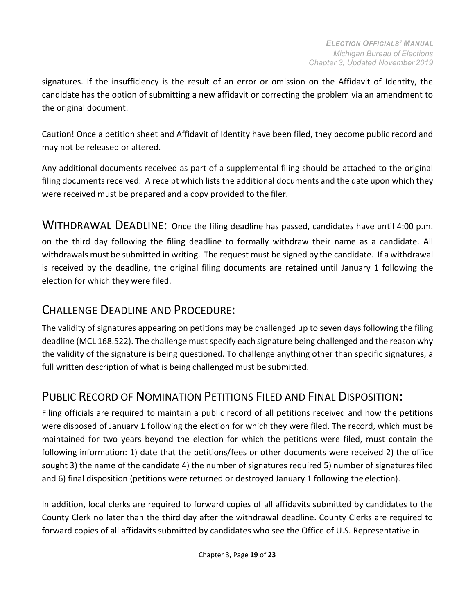signatures. If the insufficiency is the result of an error or omission on the Affidavit of Identity, the candidate has the option of submitting a new affidavit or correcting the problem via an amendment to the original document.

Caution! Once a petition sheet and Affidavit of Identity have been filed, they become public record and may not be released or altered.

Any additional documents received as part of a supplemental filing should be attached to the original filing documents received. A receipt which lists the additional documents and the date upon which they were received must be prepared and a copy provided to the filer.

<span id="page-18-0"></span>WITHDRAWAL DEADLINE: Once the filing deadline has passed, candidates have until 4:00 p.m. on the third day following the filing deadline to formally withdraw their name as a candidate. All withdrawals must be submitted in writing. The request must be signed by the candidate. If a withdrawal is received by the deadline, the original filing documents are retained until January 1 following the election for which they were filed.

### CHALLENGE DEADLINE AND PROCEDURE:

The validity of signatures appearing on petitions may be challenged up to seven days following the filing deadline (MCL 168.522). The challenge must specify each signature being challenged and the reason why the validity of the signature is being questioned. To challenge anything other than specific signatures, a full written description of what is being challenged must be submitted.

# <span id="page-18-1"></span>PUBLIC RECORD OF NOMINATION PETITIONS FILED AND FINAL DISPOSITION:

Filing officials are required to maintain a public record of all petitions received and how the petitions were disposed of January 1 following the election for which they were filed. The record, which must be maintained for two years beyond the election for which the petitions were filed, must contain the following information: 1) date that the petitions/fees or other documents were received 2) the office sought 3) the name of the candidate 4) the number of signatures required 5) number of signatures filed and 6) final disposition (petitions were returned or destroyed January 1 following the election).

In addition, local clerks are required to forward copies of all affidavits submitted by candidates to the County Clerk no later than the third day after the withdrawal deadline. County Clerks are required to forward copies of all affidavits submitted by candidates who see the Office of U.S. Representative in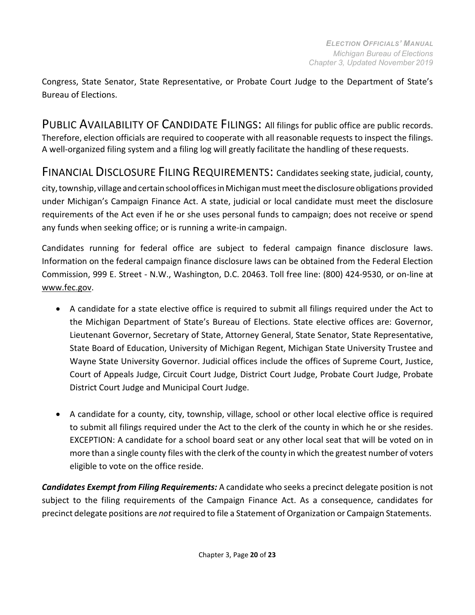Congress, State Senator, State Representative, or Probate Court Judge to the Department of State's Bureau of Elections.

PUBLIC AVAILABILITY OF CANDIDATE FILINGS: All filings for public office are public records. Therefore, election officials are required to cooperate with all reasonable requests to inspect the filings. A well-organized filing system and a filing log will greatly facilitate the handling of these requests.

<span id="page-19-0"></span>FINANCIAL DISCLOSURE FILING REQUIREMENTS: Candidates seeking state, judicial, county, city, township, village and certain school offices in Michigan must meet the disclosure obligations provided under Michigan's Campaign Finance Act. A state, judicial or local candidate must meet the disclosure requirements of the Act even if he or she uses personal funds to campaign; does not receive or spend any funds when seeking office; or is running a write-in campaign.

Candidates running for federal office are subject to federal campaign finance disclosure laws. Information on the federal campaign finance disclosure laws can be obtained from the Federal Election Commission, 999 E. Street - N.W., Washington, D.C. 20463. Toll free line: (800) 424-9530, or on-line at [www.fec.gov.](http://www.fec.gov/)

- A candidate for a state elective office is required to submit all filings required under the Act to the Michigan Department of State's Bureau of Elections. State elective offices are: Governor, Lieutenant Governor, Secretary of State, Attorney General, State Senator, State Representative, State Board of Education, University of Michigan Regent, Michigan State University Trustee and Wayne State University Governor. Judicial offices include the offices of Supreme Court, Justice, Court of Appeals Judge, Circuit Court Judge, District Court Judge, Probate Court Judge, Probate District Court Judge and Municipal Court Judge.
- A candidate for a county, city, township, village, school or other local elective office is required to submit all filings required under the Act to the clerk of the county in which he or she resides. EXCEPTION: A candidate for a school board seat or any other local seat that will be voted on in more than a single county files with the clerk of the county in which the greatest number of voters eligible to vote on the office reside.

*Candidates Exempt from Filing Requirements:* A candidate who seeks a precinct delegate position is not subject to the filing requirements of the Campaign Finance Act. As a consequence, candidates for precinct delegate positions are *not* required to file a Statement of Organization or Campaign Statements.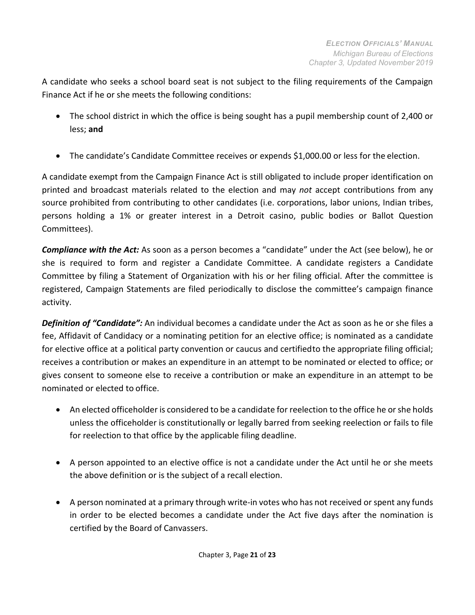A candidate who seeks a school board seat is not subject to the filing requirements of the Campaign Finance Act if he or she meets the following conditions:

- The school district in which the office is being sought has a pupil membership count of 2,400 or less; **and**
- The candidate's Candidate Committee receives or expends \$1,000.00 or less for the election.

A candidate exempt from the Campaign Finance Act is still obligated to include proper identification on printed and broadcast materials related to the election and may *not* accept contributions from any source prohibited from contributing to other candidates (i.e. corporations, labor unions, Indian tribes, persons holding a 1% or greater interest in a Detroit casino, public bodies or Ballot Question Committees).

*Compliance with the Act:* As soon as a person becomes a "candidate" under the Act (see below), he or she is required to form and register a Candidate Committee. A candidate registers a Candidate Committee by filing a Statement of Organization with his or her filing official. After the committee is registered, Campaign Statements are filed periodically to disclose the committee's campaign finance activity.

*Definition of "Candidate":* An individual becomes a candidate under the Act as soon as he or she files a fee, Affidavit of Candidacy or a nominating petition for an elective office; is nominated as a candidate for elective office at a political party convention or caucus and certifiedto the appropriate filing official; receives a contribution or makes an expenditure in an attempt to be nominated or elected to office; or gives consent to someone else to receive a contribution or make an expenditure in an attempt to be nominated or elected to office.

- An elected officeholder is considered to be a candidate for reelection to the office he or she holds unless the officeholder is constitutionally or legally barred from seeking reelection or fails to file for reelection to that office by the applicable filing deadline.
- A person appointed to an elective office is not a candidate under the Act until he or she meets the above definition or is the subject of a recall election.
- A person nominated at a primary through write-in votes who has not received or spent any funds in order to be elected becomes a candidate under the Act five days after the nomination is certified by the Board of Canvassers.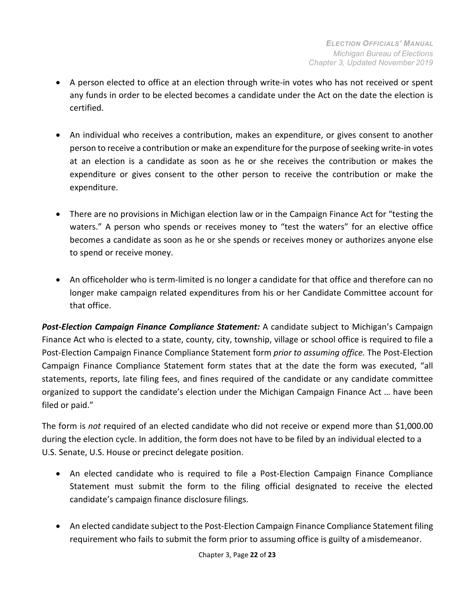- A person elected to office at an election through write-in votes who has not received or spent any funds in order to be elected becomes a candidate under the Act on the date the election is certified.
- An individual who receives a contribution, makes an expenditure, or gives consent to another person to receive a contribution or make an expenditure for the purpose of seeking write-in votes at an election is a candidate as soon as he or she receives the contribution or makes the expenditure or gives consent to the other person to receive the contribution or make the expenditure.
- There are no provisions in Michigan election law or in the Campaign Finance Act for "testing the waters." A person who spends or receives money to "test the waters" for an elective office becomes a candidate as soon as he or she spends or receives money or authorizes anyone else to spend or receive money.
- An officeholder who is term-limited is no longer a candidate for that office and therefore can no longer make campaign related expenditures from his or her Candidate Committee account for that office.

*Post-Election Campaign Finance Compliance Statement:* A candidate subject to Michigan's Campaign Finance Act who is elected to a state, county, city, township, village or school office is required to file a Post-Election Campaign Finance Compliance Statement form *prior to assuming office.* The Post-Election Campaign Finance Compliance Statement form states that at the date the form was executed, "all statements, reports, late filing fees, and fines required of the candidate or any candidate committee organized to support the candidate's election under the Michigan Campaign Finance Act … have been filed or paid."

The form is *not* required of an elected candidate who did not receive or expend more than \$1,000.00 during the election cycle. In addition, the form does not have to be filed by an individual elected to a U.S. Senate, U.S. House or precinct delegate position.

- An elected candidate who is required to file a Post-Election Campaign Finance Compliance Statement must submit the form to the filing official designated to receive the elected candidate's campaign finance disclosure filings.
- An elected candidate subject to the Post-Election Campaign Finance Compliance Statement filing requirement who fails to submit the form prior to assuming office is guilty of amisdemeanor.